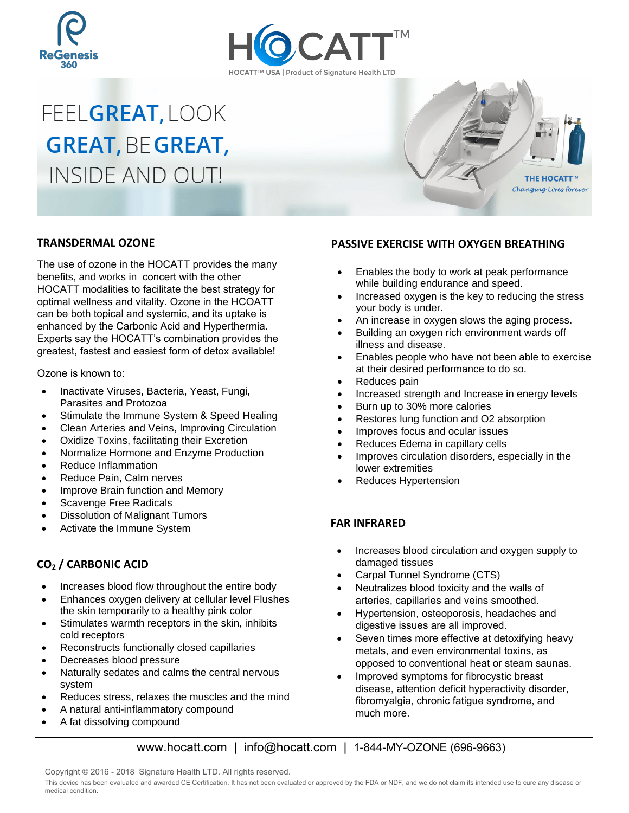



# FEELGREAT, LOOK **GREAT, BE GREAT, INSIDE AND OUT!**



# **TRANSDERMAL OZONE**

The use of ozone in the HOCATT provides the many benefits, and works in concert with the other HOCATT modalities to facilitate the best strategy for optimal wellness and vitality. Ozone in the HCOATT can be both topical and systemic, and its uptake is enhanced by the Carbonic Acid and Hyperthermia. Experts say the HOCATT's combination provides the greatest, fastest and easiest form of detox available!

Ozone is known to:

- Inactivate Viruses, Bacteria, Yeast, Fungi, Parasites and Protozoa
- Stimulate the Immune System & Speed Healing
- Clean Arteries and Veins, Improving Circulation
- Oxidize Toxins, facilitating their Excretion
- Normalize Hormone and Enzyme Production
- Reduce Inflammation
- Reduce Pain, Calm nerves
- Improve Brain function and Memory
- Scavenge Free Radicals
- Dissolution of Malignant Tumors
- Activate the Immune System

# **CO2 / CARBONIC ACID**

- Increases blood flow throughout the entire body
- Enhances oxygen delivery at cellular level Flushes the skin temporarily to a healthy pink color
- Stimulates warmth receptors in the skin, inhibits cold receptors
- Reconstructs functionally closed capillaries
- Decreases blood pressure
- Naturally sedates and calms the central nervous system
- Reduces stress, relaxes the muscles and the mind
- A natural anti-inflammatory compound
- A fat dissolving compound

#### **PASSIVE EXERCISE WITH OXYGEN BREATHING**

- Enables the body to work at peak performance while building endurance and speed.
- Increased oxygen is the key to reducing the stress your body is under.
- An increase in oxygen slows the aging process.
- Building an oxygen rich environment wards off illness and disease.
- Enables people who have not been able to exercise at their desired performance to do so.
- Reduces pain
- Increased strength and Increase in energy levels
- Burn up to 30% more calories
- Restores lung function and O2 absorption
- Improves focus and ocular issues
- Reduces Edema in capillary cells
- Improves circulation disorders, especially in the lower extremities
- Reduces Hypertension

# **FAR INFRARED**

- Increases blood circulation and oxygen supply to damaged tissues
- Carpal Tunnel Syndrome (CTS)
- Neutralizes blood toxicity and the walls of arteries, capillaries and veins smoothed.
- Hypertension, osteoporosis, headaches and digestive issues are all improved.
- Seven times more effective at detoxifying heavy metals, and even environmental toxins, as opposed to conventional heat or steam saunas.
- Improved symptoms for fibrocystic breast disease, attention deficit hyperactivity disorder, fibromyalgia, chronic fatigue syndrome, and much more.

www.hocatt.com | info@hocatt.com | 1-844-MY-OZONE (696-9663)

Copyright © 2016 - 2018 Signature Health LTD. All rights reserved.

This device has been evaluated and awarded CE Certification. It has not been evaluated or approved by the FDA or NDF, and we do not claim its intended use to cure any disease or medical condition.